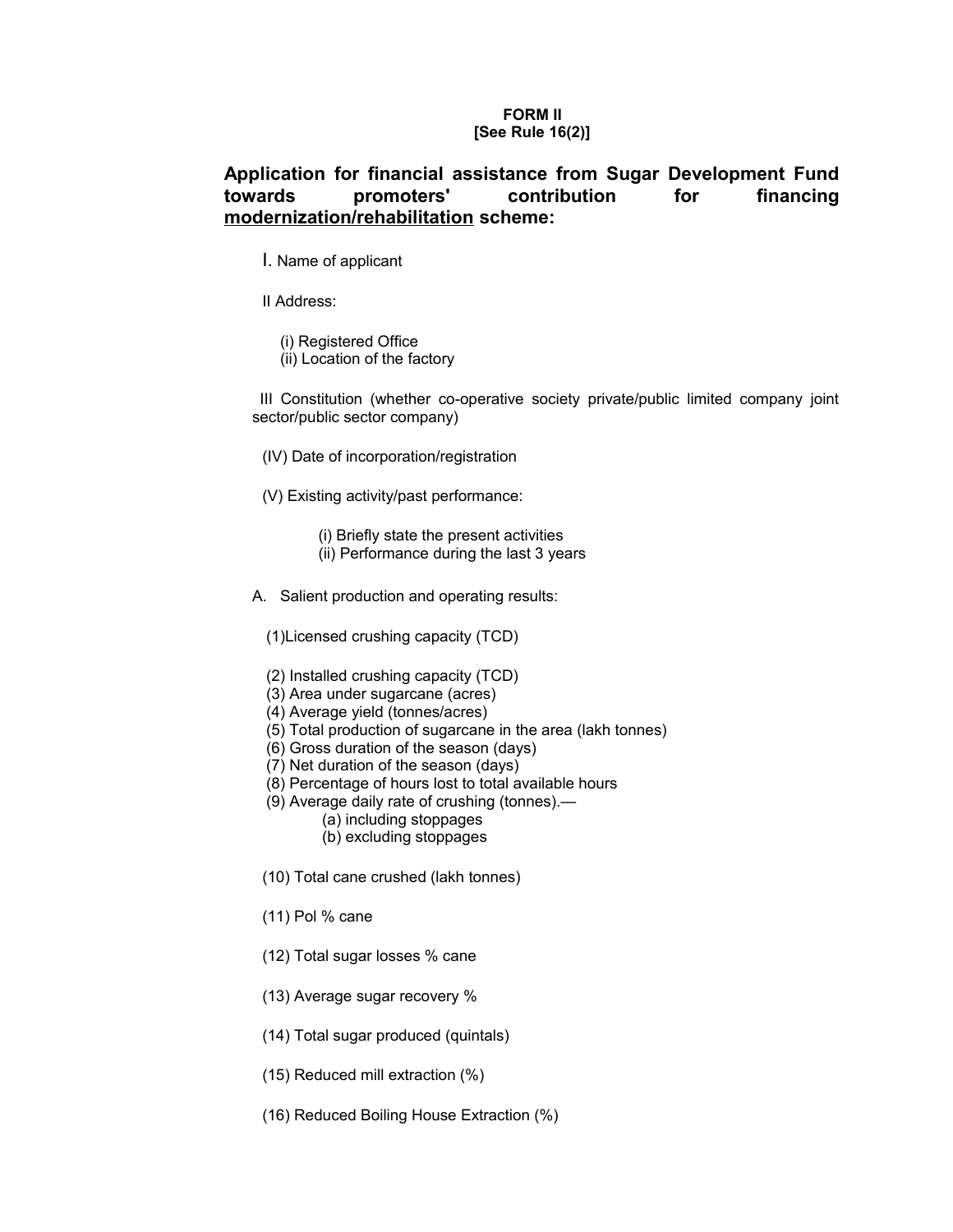## **FORM II [See Rule 16(2)]**

# **Application for financial assistance from Sugar Development Fund towards promoters' contribution for financing modernization/rehabilitation scheme:**

- I. Name of applicant
- II Address:
	- (i) Registered Office
	- (ii) Location of the factory

 III Constitution (whether co-operative society private/public limited company joint sector/public sector company)

- (IV) Date of incorporation/registration
- (V) Existing activity/past performance:
	- (i) Briefly state the present activities
	- (ii) Performance during the last 3 years
- A. Salient production and operating results:
	- (1)Licensed crushing capacity (TCD)
	- (2) Installed crushing capacity (TCD)
	- (3) Area under sugarcane (acres)
	- (4) Average yield (tonnes/acres)
	- (5) Total production of sugarcane in the area (lakh tonnes)
	- (6) Gross duration of the season (days)
	- (7) Net duration of the season (days)
	- (8) Percentage of hours lost to total available hours
	- (9) Average daily rate of crushing (tonnes).—
		- (a) including stoppages
			- (b) excluding stoppages
	- (10) Total cane crushed (lakh tonnes)
	- (11) Pol % cane
	- (12) Total sugar losses % cane
	- (13) Average sugar recovery %
	- (14) Total sugar produced (quintals)
	- (15) Reduced mill extraction (%)
	- (16) Reduced Boiling House Extraction (%)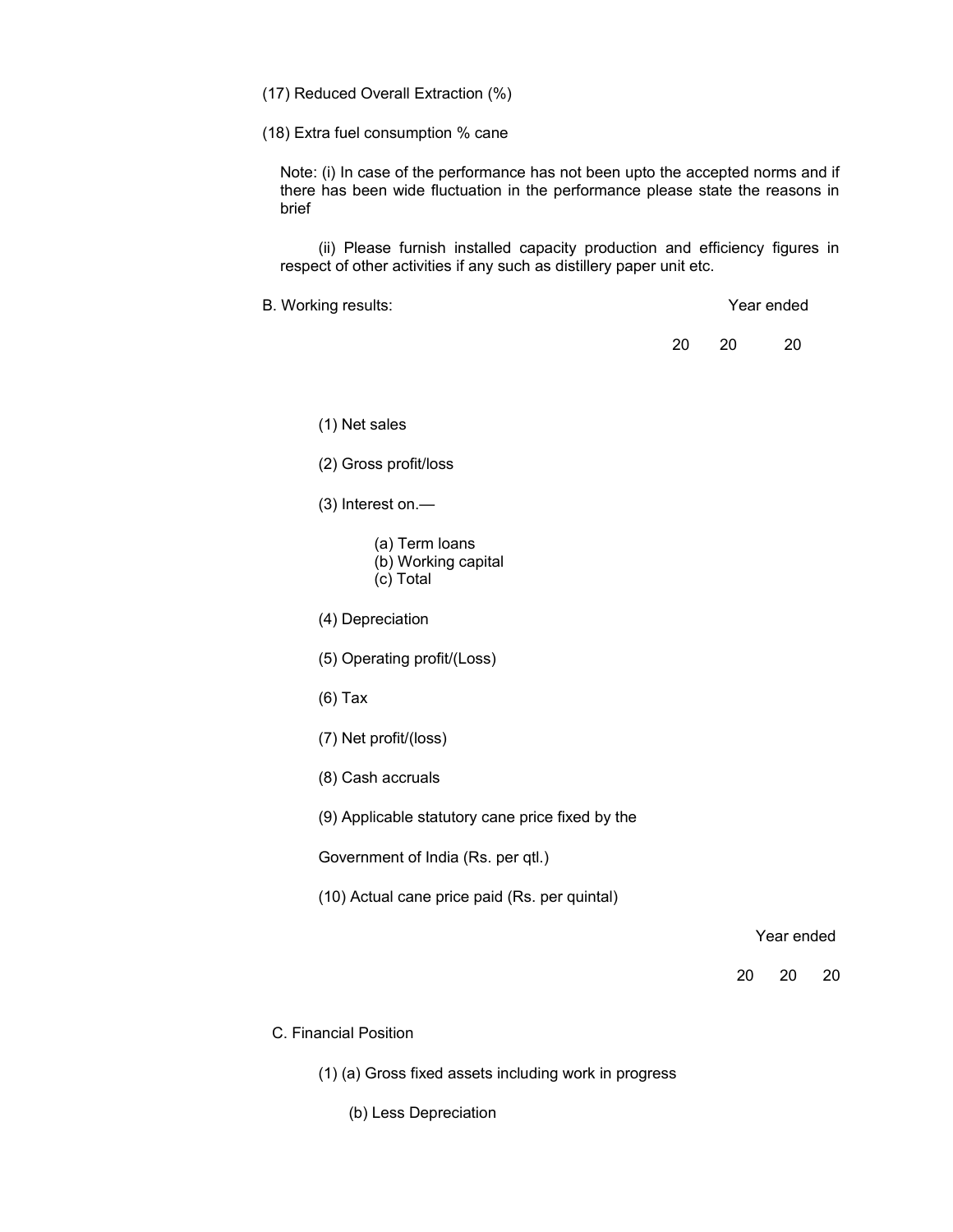(17) Reduced Overall Extraction (%)

(18) Extra fuel consumption % cane

Note: (i) In case of the performance has not been upto the accepted norms and if there has been wide fluctuation in the performance please state the reasons in brief

(ii) Please furnish installed capacity production and efficiency figures in respect of other activities if any such as distillery paper unit etc.

B. Working results: Year ended

20 20 20

(1) Net sales

(2) Gross profit/loss

(3) Interest on.—

(a) Term loans (b) Working capital

(c) Total

(4) Depreciation

(5) Operating profit/(Loss)

(6) Tax

(7) Net profit/(loss)

(8) Cash accruals

(9) Applicable statutory cane price fixed by the

Government of India (Rs. per qtl.)

(10) Actual cane price paid (Rs. per quintal)

Year ended

20 20 20

C. Financial Position

(1) (a) Gross fixed assets including work in progress

(b) Less Depreciation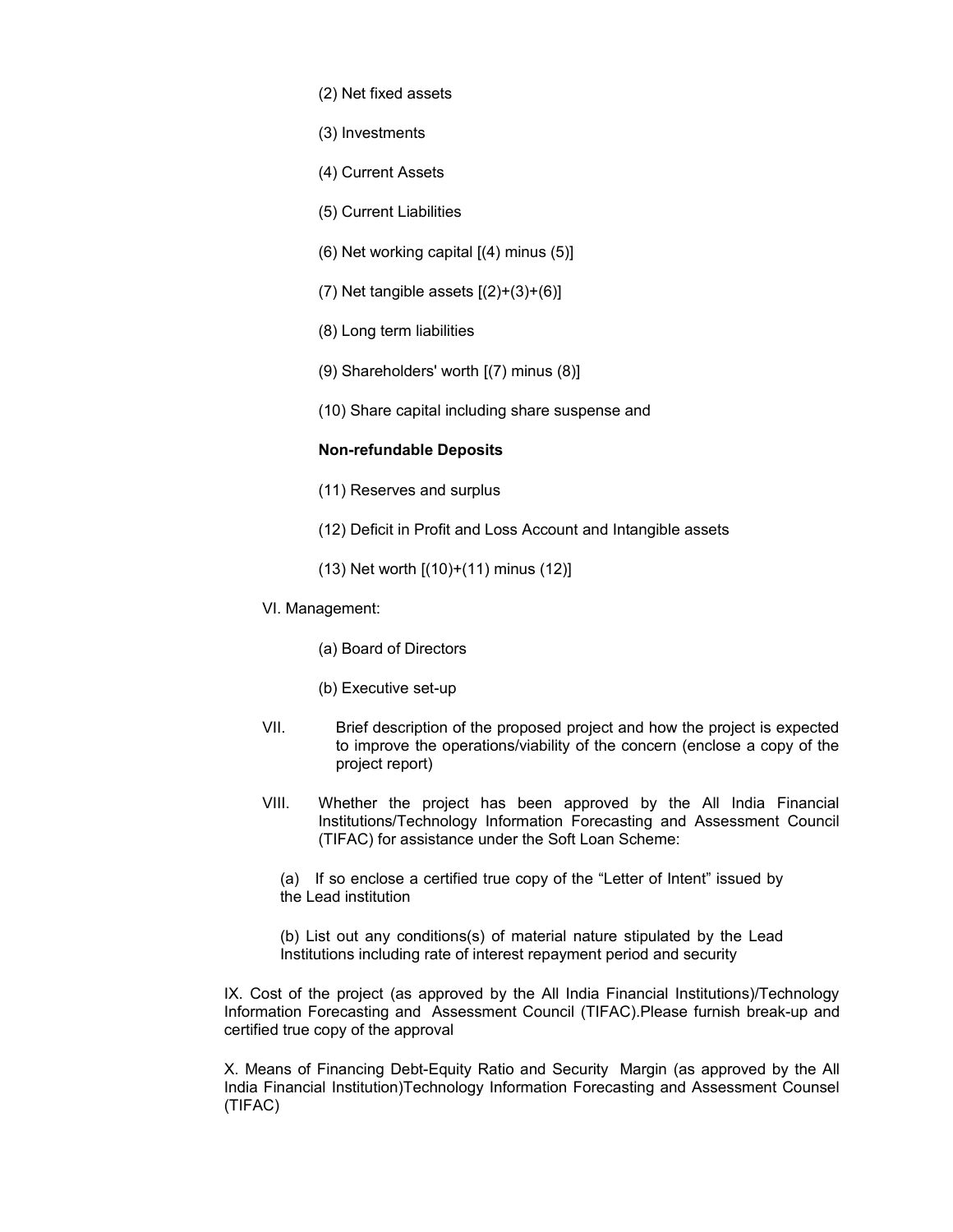- (2) Net fixed assets
- (3) Investments
- (4) Current Assets
- (5) Current Liabilities
- (6) Net working capital [(4) minus (5)]
- (7) Net tangible assets [(2)+(3)+(6)]
- (8) Long term liabilities
- (9) Shareholders' worth [(7) minus (8)]
- (10) Share capital including share suspense and

## **Non-refundable Deposits**

- (11) Reserves and surplus
- (12) Deficit in Profit and Loss Account and Intangible assets
- (13) Net worth [(10)+(11) minus (12)]
- VI. Management:
	- (a) Board of Directors
	- (b) Executive set-up
- VII. Brief description of the proposed project and how the project is expected to improve the operations/viability of the concern (enclose a copy of the project report)
- VIII. Whether the project has been approved by the All India Financial Institutions/Technology Information Forecasting and Assessment Council (TIFAC) for assistance under the Soft Loan Scheme:
	- (a) If so enclose a certified true copy of the "Letter of Intent" issued by the Lead institution
	- (b) List out any conditions(s) of material nature stipulated by the Lead Institutions including rate of interest repayment period and security

IX. Cost of the project (as approved by the All India Financial Institutions)/Technology Information Forecasting and Assessment Council (TIFAC).Please furnish break-up and certified true copy of the approval

X. Means of Financing Debt-Equity Ratio and Security Margin (as approved by the All India Financial Institution)Technology Information Forecasting and Assessment Counsel (TIFAC)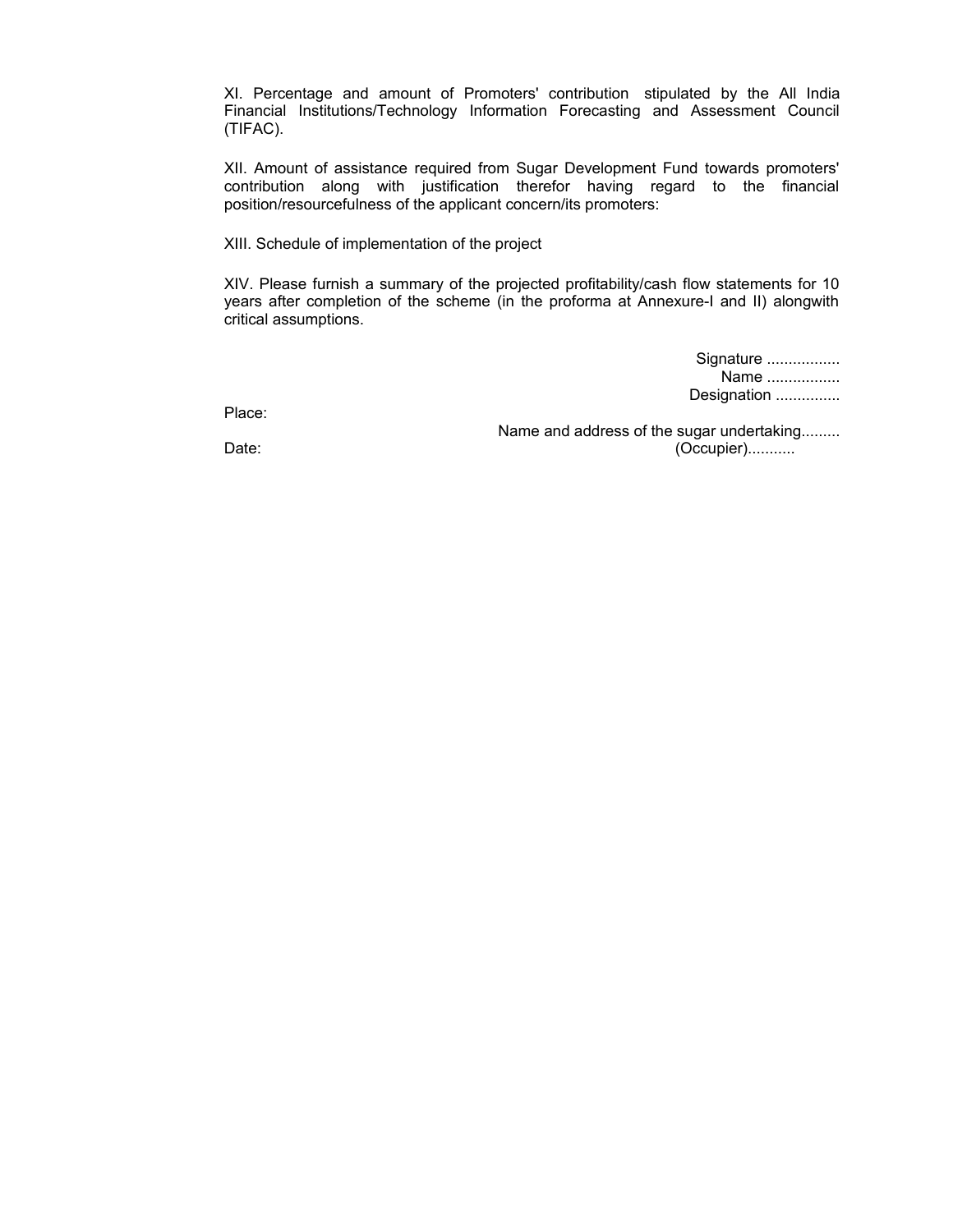XI. Percentage and amount of Promoters' contribution stipulated by the All India Financial Institutions/Technology Information Forecasting and Assessment Council (TIFAC).

XII. Amount of assistance required from Sugar Development Fund towards promoters' contribution along with justification therefor having regard to the financial position/resourcefulness of the applicant concern/its promoters:

XIII. Schedule of implementation of the project

XIV. Please furnish a summary of the projected profitability/cash flow statements for 10 years after completion of the scheme (in the proforma at Annexure-I and II) alongwith critical assumptions.

| Signature   |  |
|-------------|--|
| Name        |  |
| Designation |  |

Place:

Name and address of the sugar undertaking......... Date: (Occupier)...........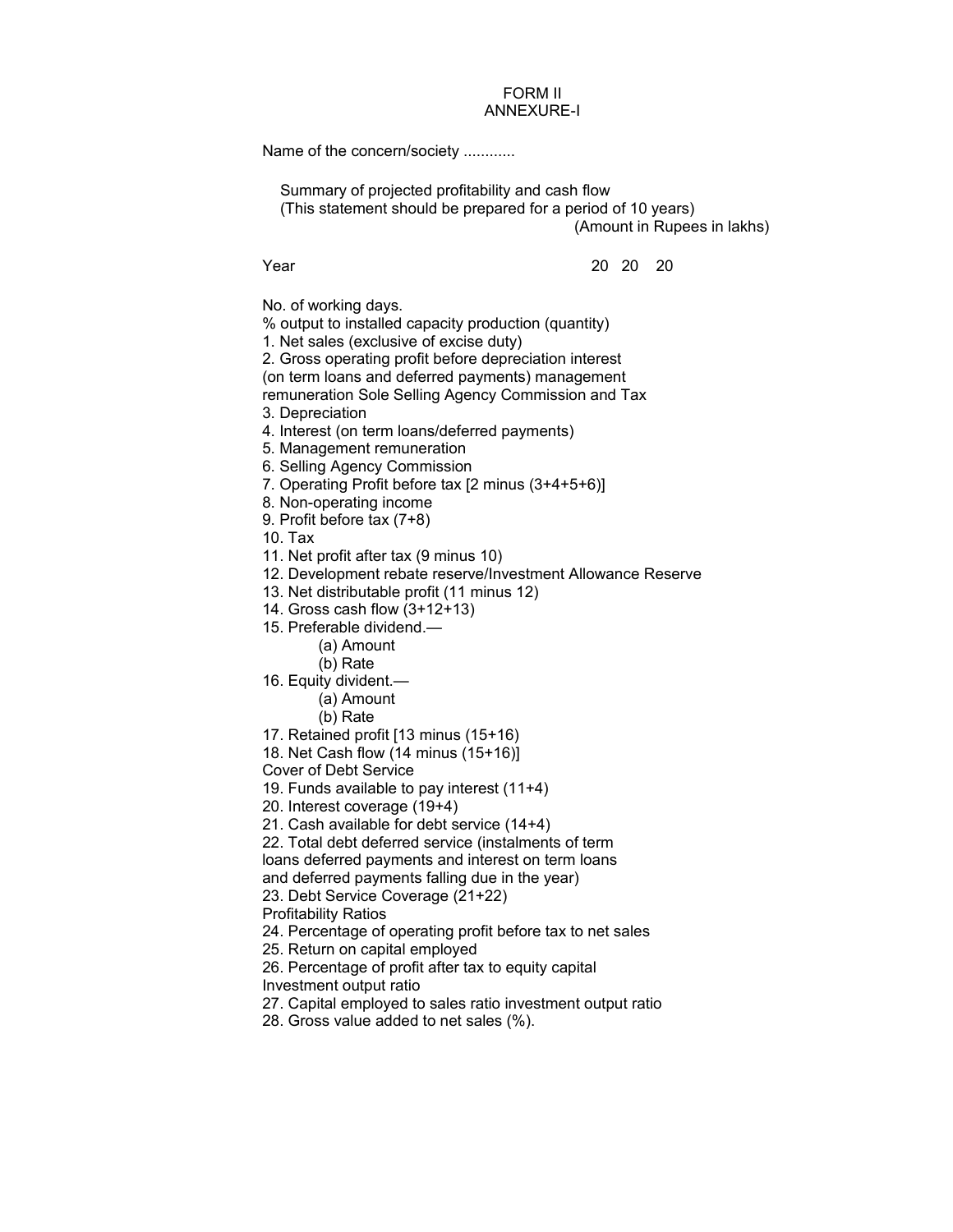## FORM II ANNEXURE-I

Name of the concern/society ............

Summary of projected profitability and cash flow (This statement should be prepared for a period of 10 years) (Amount in Rupees in lakhs)

Year 20 20 20

No. of working days.

% output to installed capacity production (quantity)

- 1. Net sales (exclusive of excise duty)
- 2. Gross operating profit before depreciation interest

(on term loans and deferred payments) management

remuneration Sole Selling Agency Commission and Tax

3. Depreciation

- 4. Interest (on term loans/deferred payments)
- 5. Management remuneration
- 6. Selling Agency Commission
- 7. Operating Profit before tax [2 minus (3+4+5+6)]

8. Non-operating income

9. Profit before tax (7+8)

10. Tax

- 11. Net profit after tax (9 minus 10)
- 12. Development rebate reserve/Investment Allowance Reserve
- 13. Net distributable profit (11 minus 12)
- 14. Gross cash flow (3+12+13)
- 15. Preferable dividend.—
	- (a) Amount
	- (b) Rate
- 16. Equity divident.—
	- (a) Amount
	- (b) Rate
- 17. Retained profit [13 minus (15+16)
- 18. Net Cash flow (14 minus (15+16)]

Cover of Debt Service

19. Funds available to pay interest (11+4)

- 20. Interest coverage (19+4)
- 21. Cash available for debt service (14+4)

22. Total debt deferred service (instalments of term loans deferred payments and interest on term loans and deferred payments falling due in the year)

- 23. Debt Service Coverage (21+22)
- Profitability Ratios
- 24. Percentage of operating profit before tax to net sales

25. Return on capital employed

26. Percentage of profit after tax to equity capital Investment output ratio

- 27. Capital employed to sales ratio investment output ratio
- 28. Gross value added to net sales (%).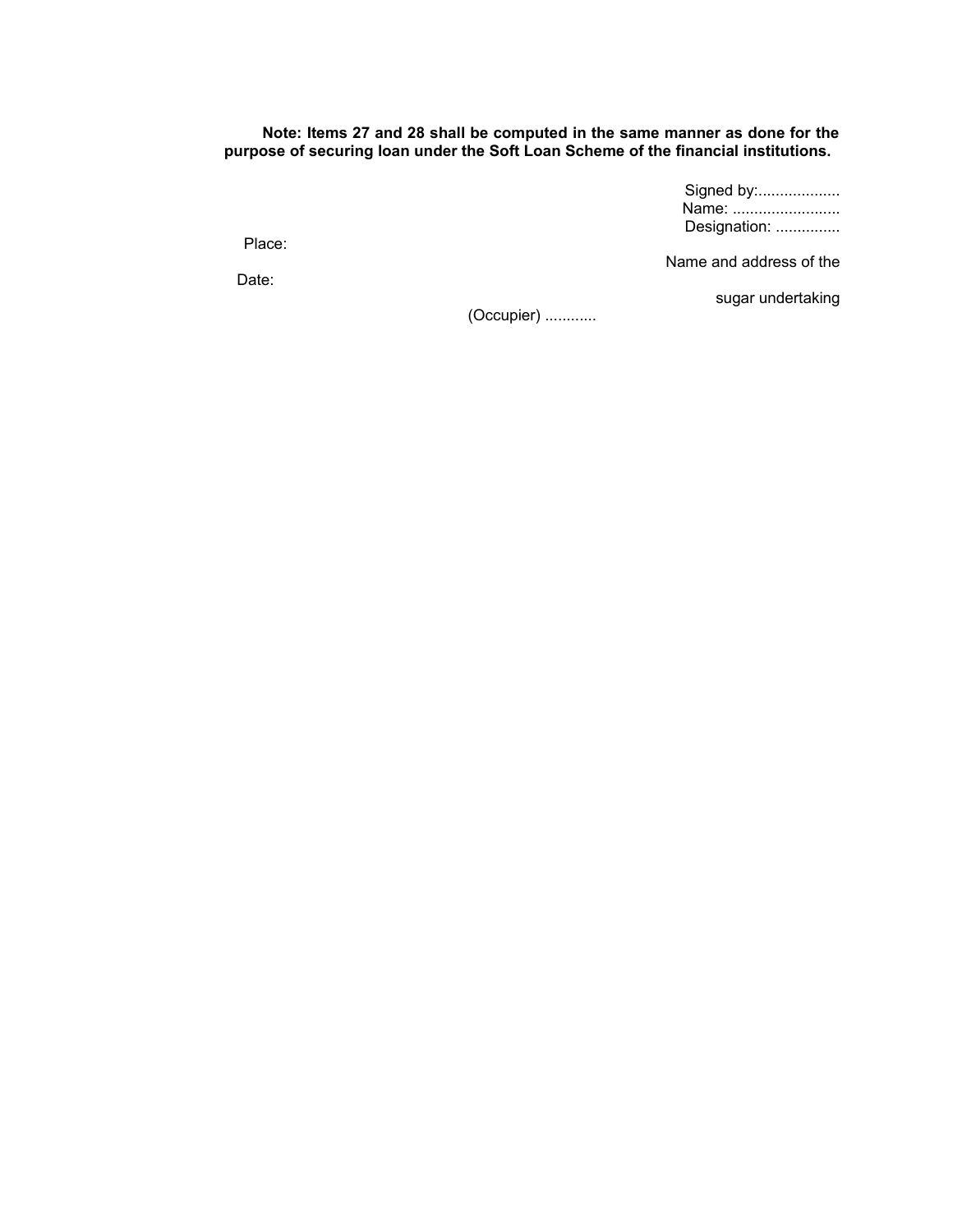## **Note: Items 27 and 28 shall be computed in the same manner as done for the purpose of securing loan under the Soft Loan Scheme of the financial institutions.**

Signed by:................... Name: .......................... Designation: ...............

Place:

Name and address of the

Date:

sugar undertaking

(Occupier) ............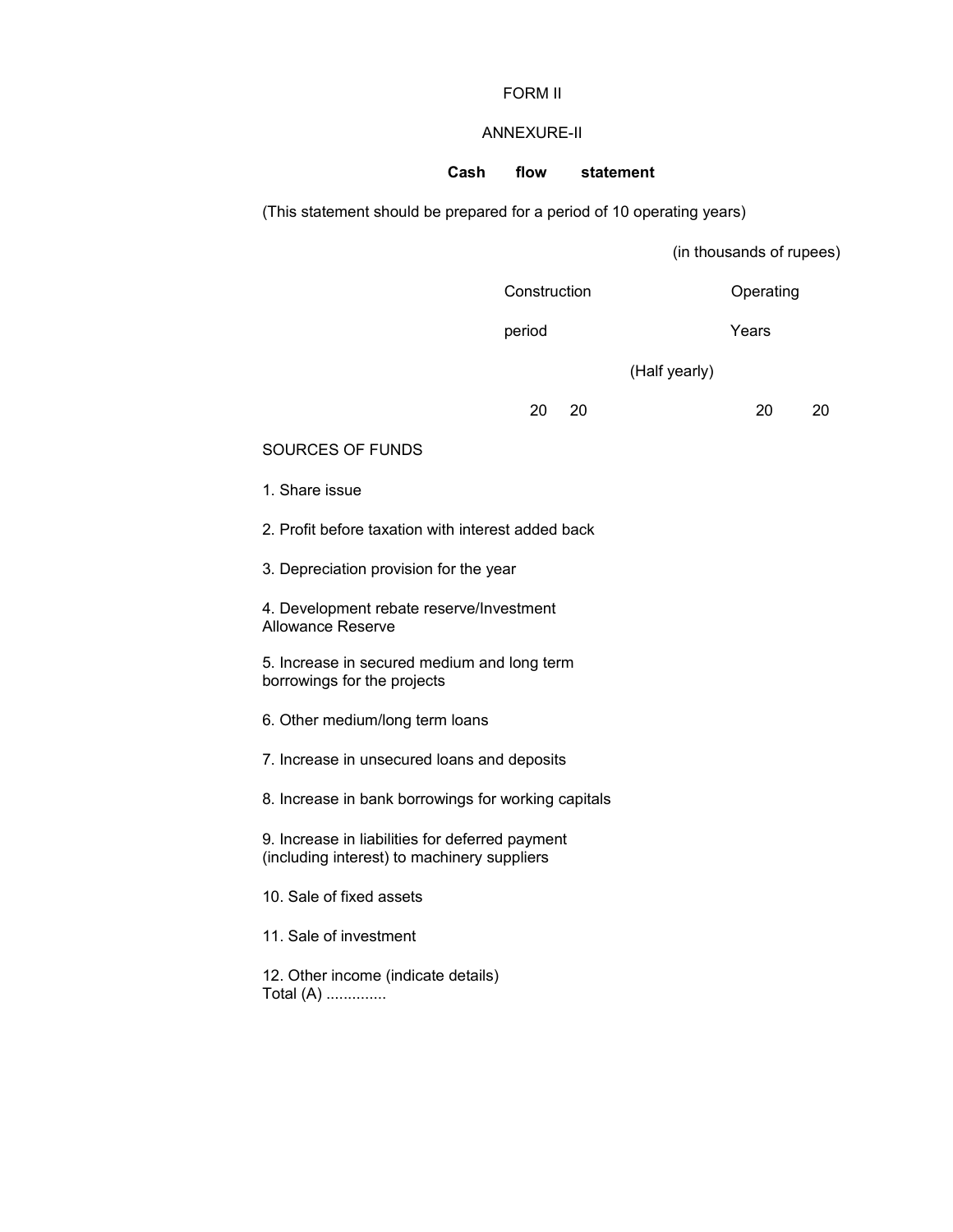## FORM II

## ANNEXURE-II

## **Cash flow statement**

(This statement should be prepared for a period of 10 operating years)

(in thousands of rupees)

Construction Operating

period Years

(Half yearly)

20 20 20 20

## SOURCES OF FUNDS

1. Share issue

2. Profit before taxation with interest added back

3. Depreciation provision for the year

4. Development rebate reserve/Investment Allowance Reserve

5. Increase in secured medium and long term borrowings for the projects

6. Other medium/long term loans

7. Increase in unsecured loans and deposits

8. Increase in bank borrowings for working capitals

9. Increase in liabilities for deferred payment (including interest) to machinery suppliers

10. Sale of fixed assets

11. Sale of investment

12. Other income (indicate details) Total (A) ..............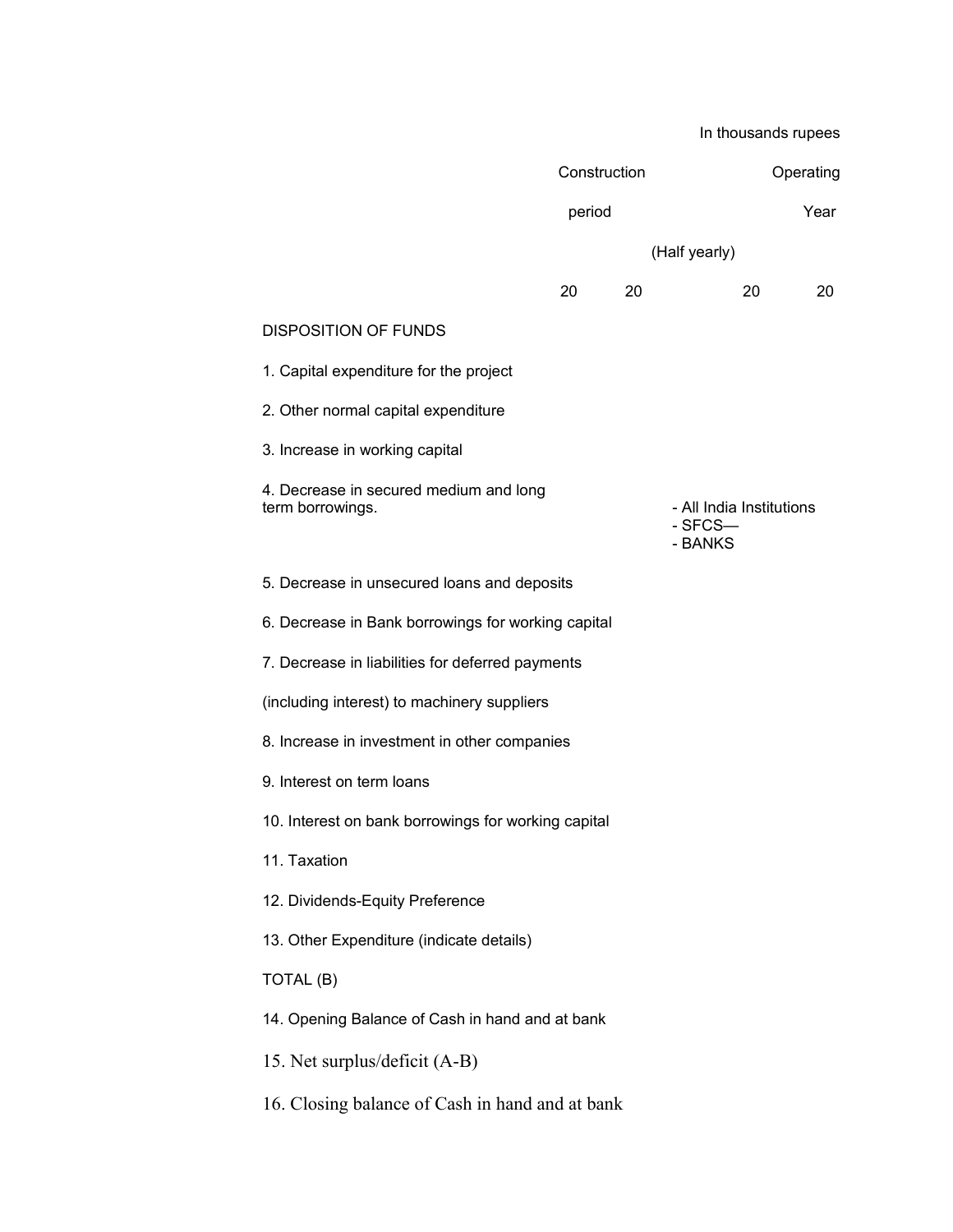In thousands rupees Construction Operating period Year (Half yearly) 20 20 20 20 DISPOSITION OF FUNDS 1. Capital expenditure for the project 2. Other normal capital expenditure 3. Increase in working capital 4. Decrease in secured medium and long term borrowings. The contract of the contract of the All India Institutions of All India Institutions - SFCS— - BANKS 5. Decrease in unsecured loans and deposits 6. Decrease in Bank borrowings for working capital 7. Decrease in liabilities for deferred payments (including interest) to machinery suppliers 8. Increase in investment in other companies 9. Interest on term loans 10. Interest on bank borrowings for working capital 11. Taxation 12. Dividends-Equity Preference 13. Other Expenditure (indicate details) TOTAL (B) 14. Opening Balance of Cash in hand and at bank 15. Net surplus/deficit (A-B) 16. Closing balance of Cash in hand and at bank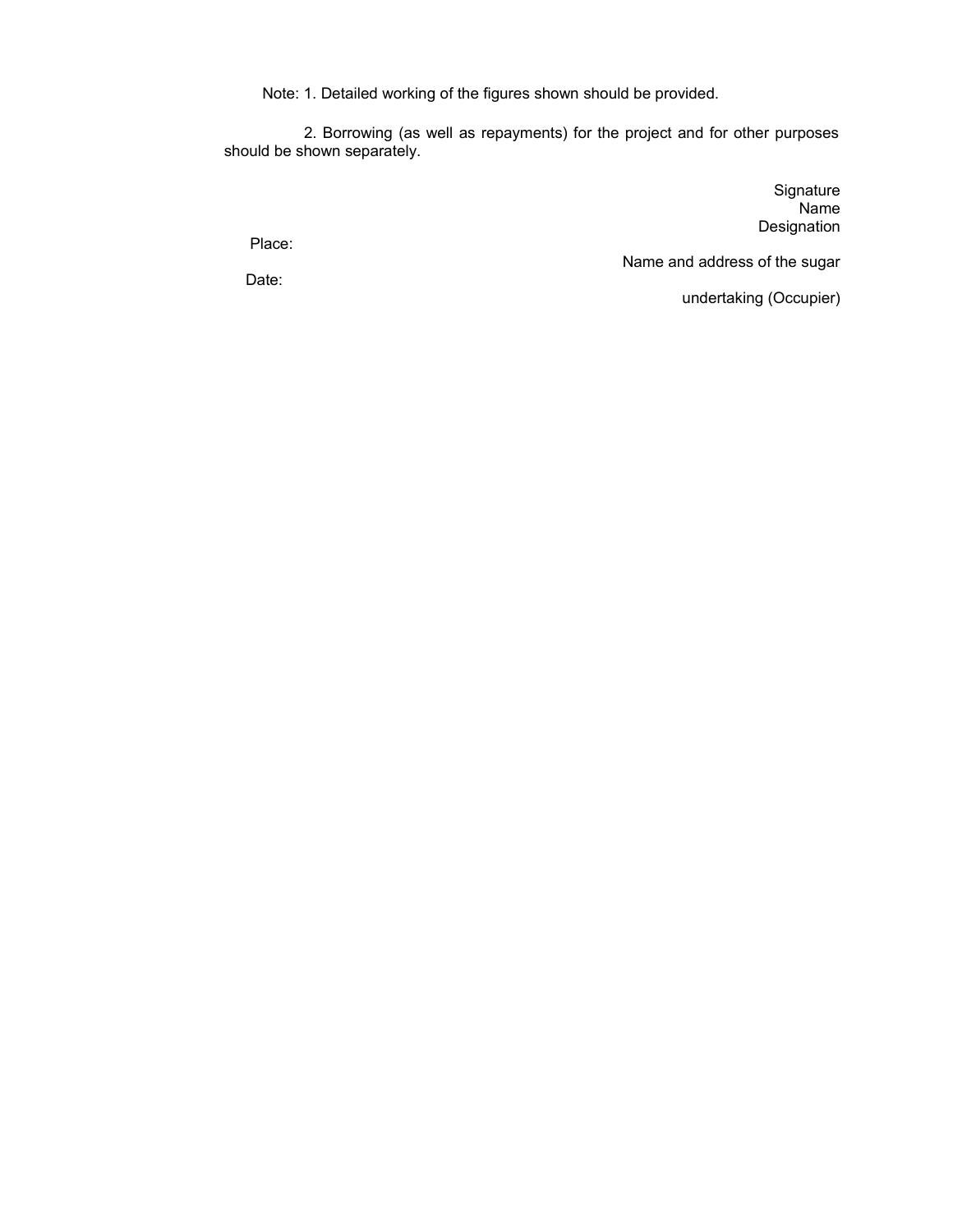Note: 1. Detailed working of the figures shown should be provided.

 2. Borrowing (as well as repayments) for the project and for other purposes should be shown separately.

> **Signature** Name Designation

Place:

Name and address of the sugar

undertaking (Occupier)

Date: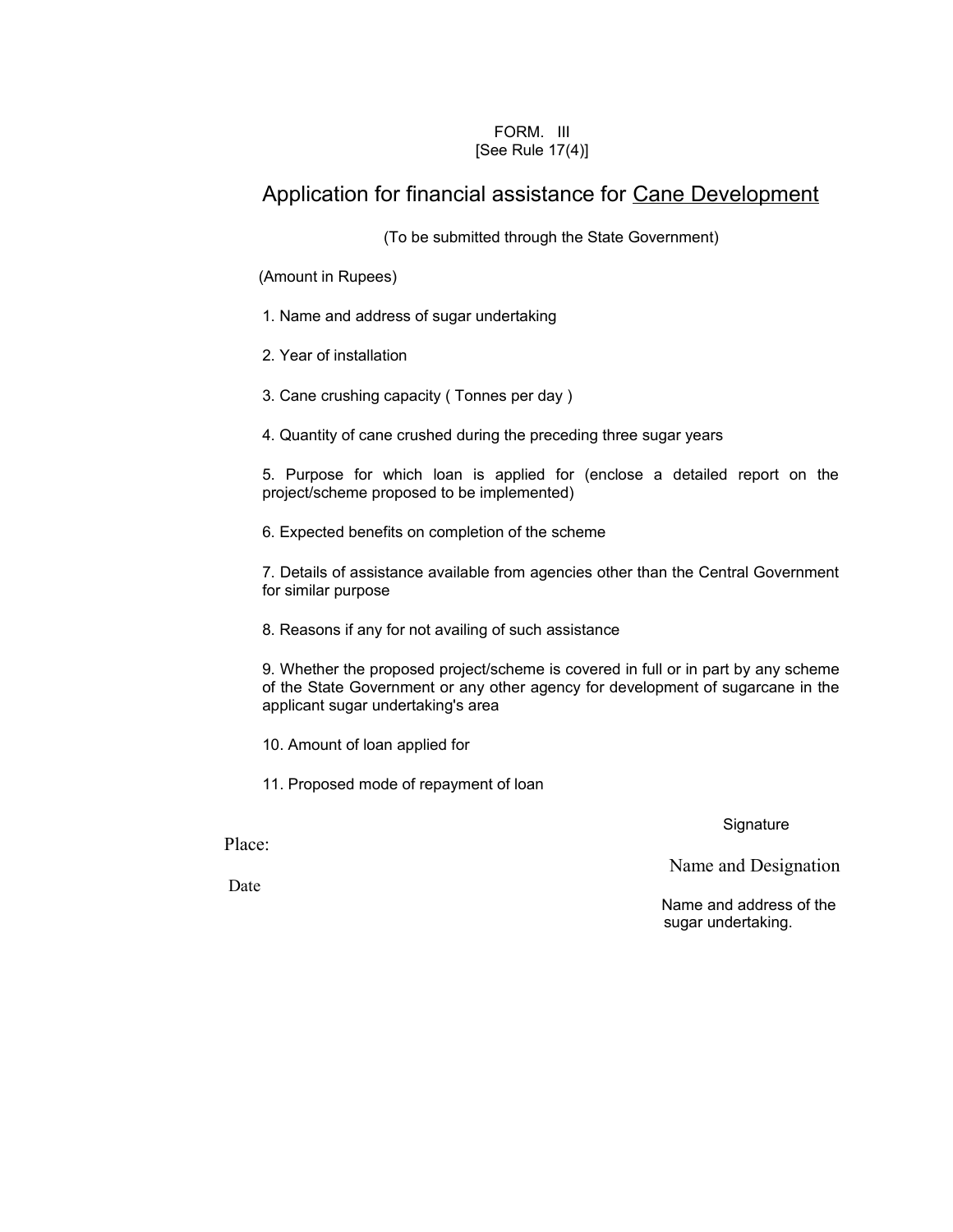## FORM. III [See Rule 17(4)]

# Application for financial assistance for Cane Development

(To be submitted through the State Government)

(Amount in Rupees)

- 1. Name and address of sugar undertaking
- 2. Year of installation
- 3. Cane crushing capacity ( Tonnes per day )
- 4. Quantity of cane crushed during the preceding three sugar years

5. Purpose for which loan is applied for (enclose a detailed report on the project/scheme proposed to be implemented)

6. Expected benefits on completion of the scheme

7. Details of assistance available from agencies other than the Central Government for similar purpose

8. Reasons if any for not availing of such assistance

9. Whether the proposed project/scheme is covered in full or in part by any scheme of the State Government or any other agency for development of sugarcane in the applicant sugar undertaking's area

10. Amount of loan applied for

11. Proposed mode of repayment of loan

**Signature** 

Place:

Date

Name and Designation

 Name and address of the sugar undertaking.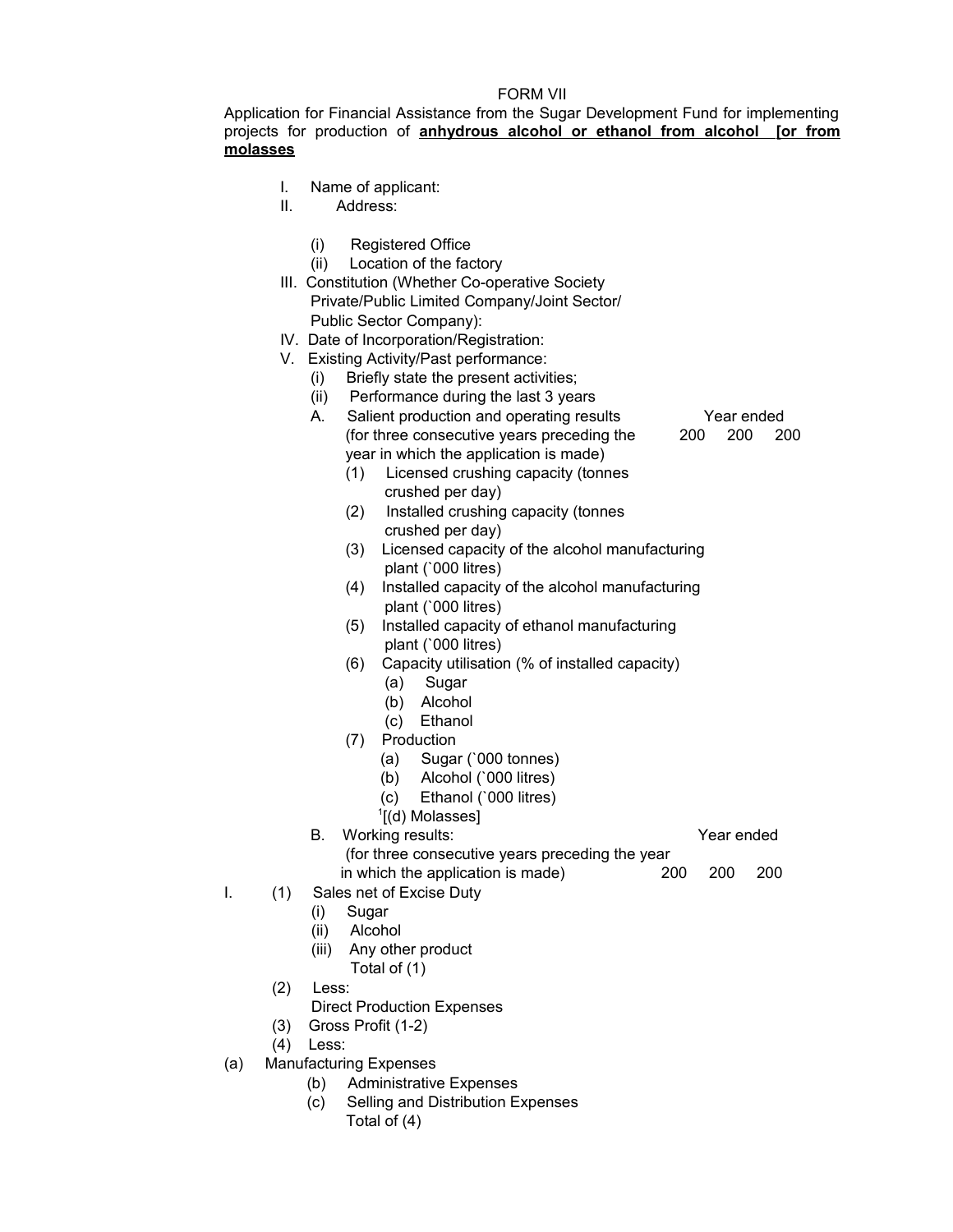## FORM VII

Application for Financial Assistance from the Sugar Development Fund for implementing projects for production of **anhydrous alcohol or ethanol from alcohol [or from molasses**

- I. Name of applicant:
- II. Address:
	- (i) Registered Office
	- (ii) Location of the factory
- III. Constitution (Whether Co-operative Society Private/Public Limited Company/Joint Sector/ Public Sector Company):
- IV. Date of Incorporation/Registration:
- V. Existing Activity/Past performance:
	- (i) Briefly state the present activities;
	- (ii) Performance during the last 3 years
	- A. Salient production and operating results Year ended (for three consecutive years preceding the 200 200 200 year in which the application is made)
		- (1) Licensed crushing capacity (tonnes crushed per day)
		- (2) Installed crushing capacity (tonnes crushed per day)
		- (3) Licensed capacity of the alcohol manufacturing plant (`000 litres)
		- (4) Installed capacity of the alcohol manufacturing plant (`000 litres)
		- (5) Installed capacity of ethanol manufacturing plant (`000 litres)
		- (6) Capacity utilisation (% of installed capacity)
			- (a) Sugar
			- (b) Alcohol
			- (c) Ethanol
		- (7) Production
			- (a) Sugar (`000 tonnes)
			- (b) Alcohol (`000 litres)
			- (c) Ethanol (`000 litres)
			- 1 [(d) Molasses]

B. Working results: Year ended (for three consecutive years preceding the year in which the application is made) 200 200 200

- I. (1) Sales net of Excise Duty
	- (i) Sugar
	- (ii) Alcohol
	- (iii) Any other product Total of (1)
	- (2) Less:
		- Direct Production Expenses
	- (3) Gross Profit (1-2)
	- (4) Less:
- (a) Manufacturing Expenses
	- (b) Administrative Expenses
	- (c) Selling and Distribution Expenses
		- Total of (4)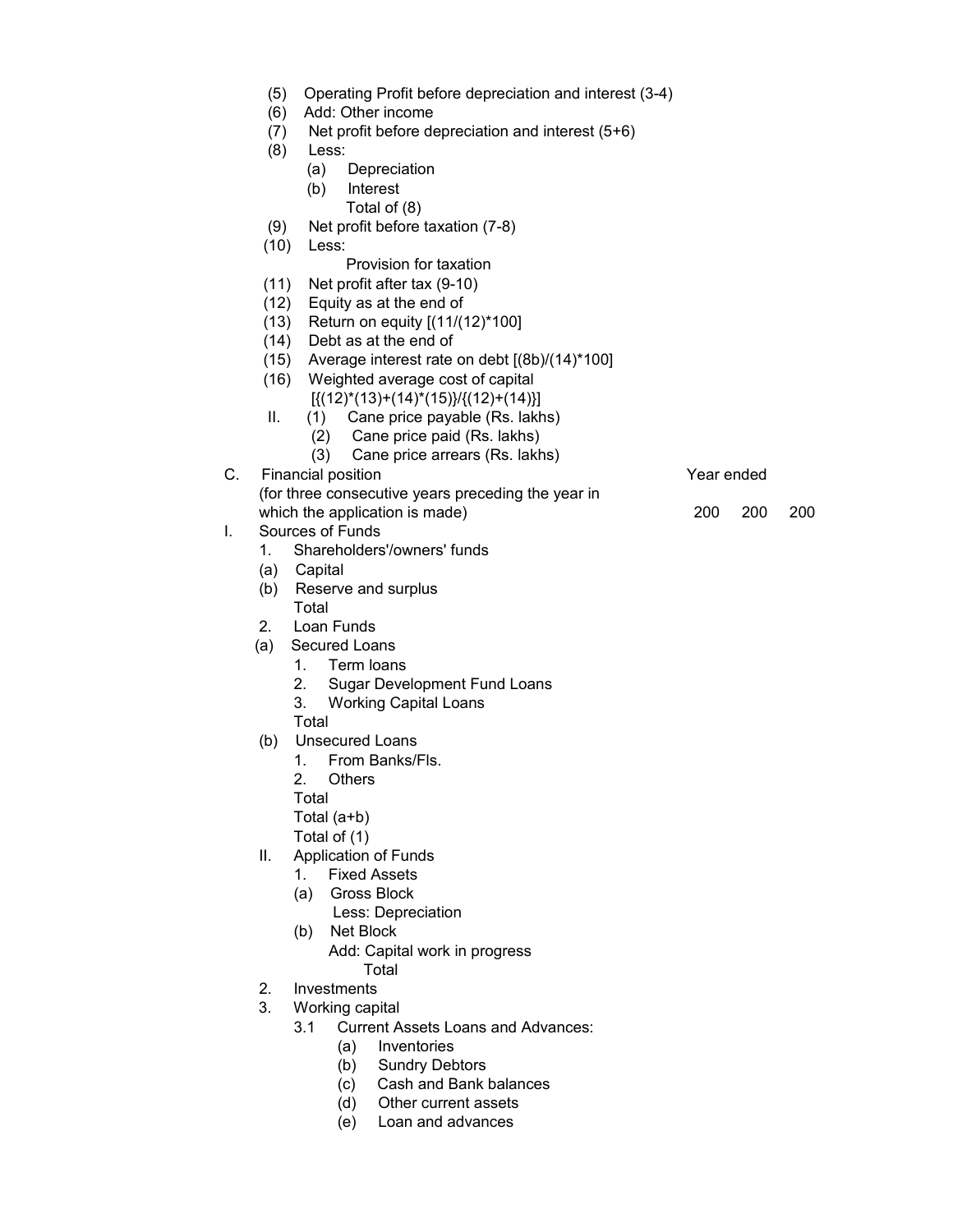- (5) Operating Profit before depreciation and interest (3-4)
- (6) Add: Other income
- (7) Net profit before depreciation and interest (5+6)
- (8) Less:
	- (a) Depreciation
	- (b) Interest
	- Total of (8)
- (9) Net profit before taxation (7-8)
- (10) Less:

## Provision for taxation

- (11) Net profit after tax (9-10)
- (12) Equity as at the end of
- (13) Return on equity [(11/(12)\*100]
- (14) Debt as at the end of
- $(15)$  Average interest rate on debt  $[(8b)/(14)^*100]$
- (16) Weighted average cost of capital
	- $\lceil \{(12)^*(13)+(14)^*(15)\}/\{(12)+(14)\}\rceil$
- II. (1) Cane price payable (Rs. lakhs)
	- (2) Cane price paid (Rs. lakhs)
	- (3) Cane price arrears (Rs. lakhs)
- C. Financial position **Financial position** C. **Financial position** 
	- (for three consecutive years preceding the year in which the application is made) 200 200 200 200 200
- I. Sources of Funds
	- 1. Shareholders'/owners' funds
	- (a) Capital
	- (b) Reserve and surplus Total
	- 2. Loan Funds
	- (a) Secured Loans
		- 1. Term loans
		- 2. Sugar Development Fund Loans
		- 3. Working Capital Loans
		- Total
	- (b) Unsecured Loans
		- 1. From Banks/Fls.
		- 2. Others
		- Total
		- Total (a+b)
		- Total of (1)
	- II. Application of Funds
		- 1. Fixed Assets
		- (a) Gross Block
			- Less: Depreciation
		- (b) Net Block
			- Add: Capital work in progress **Total**
	- 2. Investments
	- 3. Working capital
		- 3.1 Current Assets Loans and Advances:
			- (a) Inventories
			- (b) Sundry Debtors
			- (c) Cash and Bank balances
			- (d) Other current assets
			- (e) Loan and advances

- 
-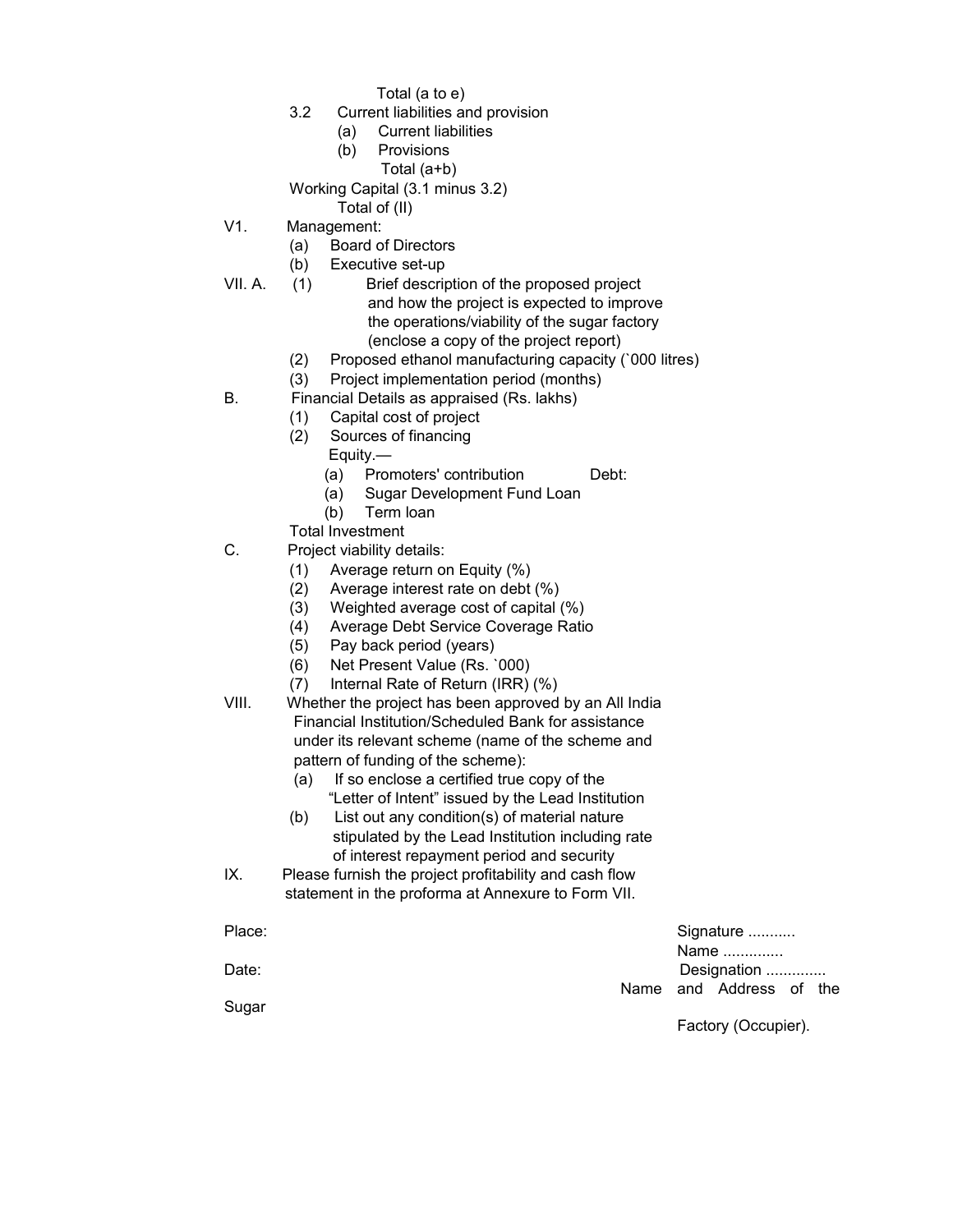Total (a to e)

- 3.2 Current liabilities and provision
	- (a) Current liabilities
	- (b) Provisions
		- Total (a+b)

Working Capital (3.1 minus 3.2)

Total of (II)

- V1. Management:
	- (a) Board of Directors
	- (b) Executive set-up
- VII. A. (1) Brief description of the proposed project and how the project is expected to improve the operations/viability of the sugar factory (enclose a copy of the project report)
	- (2) Proposed ethanol manufacturing capacity (`000 litres)
	- (3) Project implementation period (months)
- B. Financial Details as appraised (Rs. lakhs)
	- (1) Capital cost of project
	- (2) Sources of financing
		- Equity.—
			- (a) Promoters' contribution Debt:
			- (a) Sugar Development Fund Loan
		- (b) Term loan
	- Total Investment
- C. Project viability details:
	- (1) Average return on Equity (%)
	- (2) Average interest rate on debt (%)
	- (3) Weighted average cost of capital (%)
	- (4) Average Debt Service Coverage Ratio
	- (5) Pay back period (years)
	- (6) Net Present Value (Rs. `000)
	- (7) Internal Rate of Return (IRR) (%)
- VIII. Whether the project has been approved by an All India Financial Institution/Scheduled Bank for assistance under its relevant scheme (name of the scheme and pattern of funding of the scheme):
	- (a) If so enclose a certified true copy of the "Letter of Intent" issued by the Lead Institution
	- (b) List out any condition(s) of material nature stipulated by the Lead Institution including rate of interest repayment period and security
- IX. Please furnish the project profitability and cash flow statement in the proforma at Annexure to Form VII.

| Place: |  |                     | Signature               |  |  |  |
|--------|--|---------------------|-------------------------|--|--|--|
|        |  | Name                |                         |  |  |  |
| Date:  |  | Designation         |                         |  |  |  |
|        |  |                     | Name and Address of the |  |  |  |
| Sugar  |  |                     |                         |  |  |  |
|        |  | Factory (Occupier). |                         |  |  |  |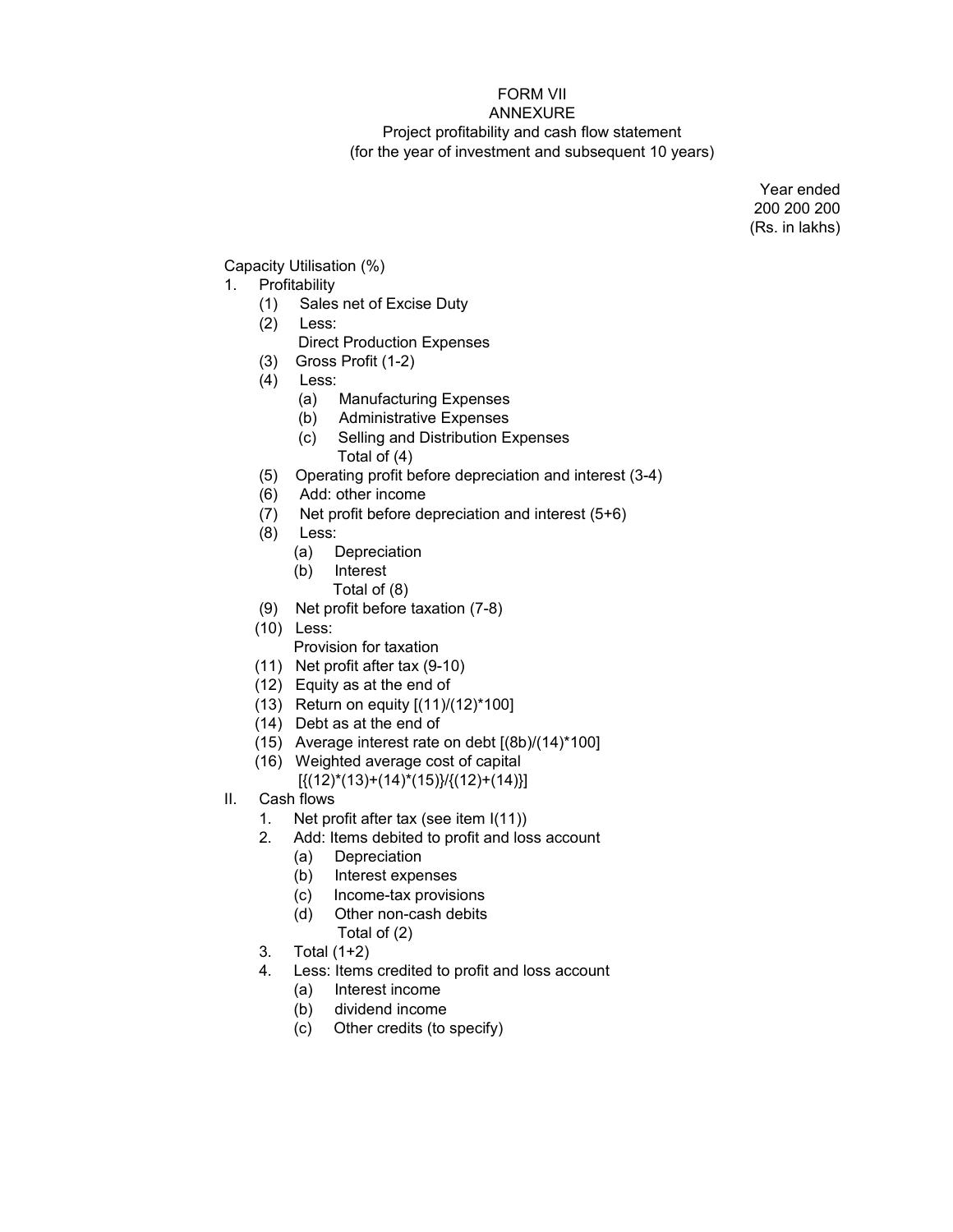# FORM VII

## ANNEXURE Project profitability and cash flow statement (for the year of investment and subsequent 10 years)

Year ended 200 200 200 (Rs. in lakhs)

Capacity Utilisation (%)

# 1. Profitability

- (1) Sales net of Excise Duty
- (2) Less:
	- Direct Production Expenses
- (3) Gross Profit (1-2)
- (4) Less:
	- (a) Manufacturing Expenses
	- (b) Administrative Expenses
	- (c) Selling and Distribution Expenses Total of (4)
- (5) Operating profit before depreciation and interest (3-4)
- (6) Add: other income
- (7) Net profit before depreciation and interest (5+6)
- (8) Less:
	- (a) Depreciation
	- (b) Interest
		- Total of (8)
- (9) Net profit before taxation (7-8)
- (10) Less:
	- Provision for taxation
- (11) Net profit after tax (9-10)
- (12) Equity as at the end of
- (13) Return on equity [(11)/(12)\*100]
- (14) Debt as at the end of
- (15) Average interest rate on debt [(8b)/(14)\*100]
- (16) Weighted average cost of capital
	- $[{(12)^*(13)+(14)^*(15)}]/[{(12)+(14)}]$
- II. Cash flows
	- 1. Net profit after tax (see item I(11))
	- 2. Add: Items debited to profit and loss account
		- (a) Depreciation
		- (b) Interest expenses
		- (c) Income-tax provisions
		- (d) Other non-cash debits Total of (2)
	- 3. Total (1+2)
	- 4. Less: Items credited to profit and loss account
		- (a) Interest income
		- (b) dividend income
		- (c) Other credits (to specify)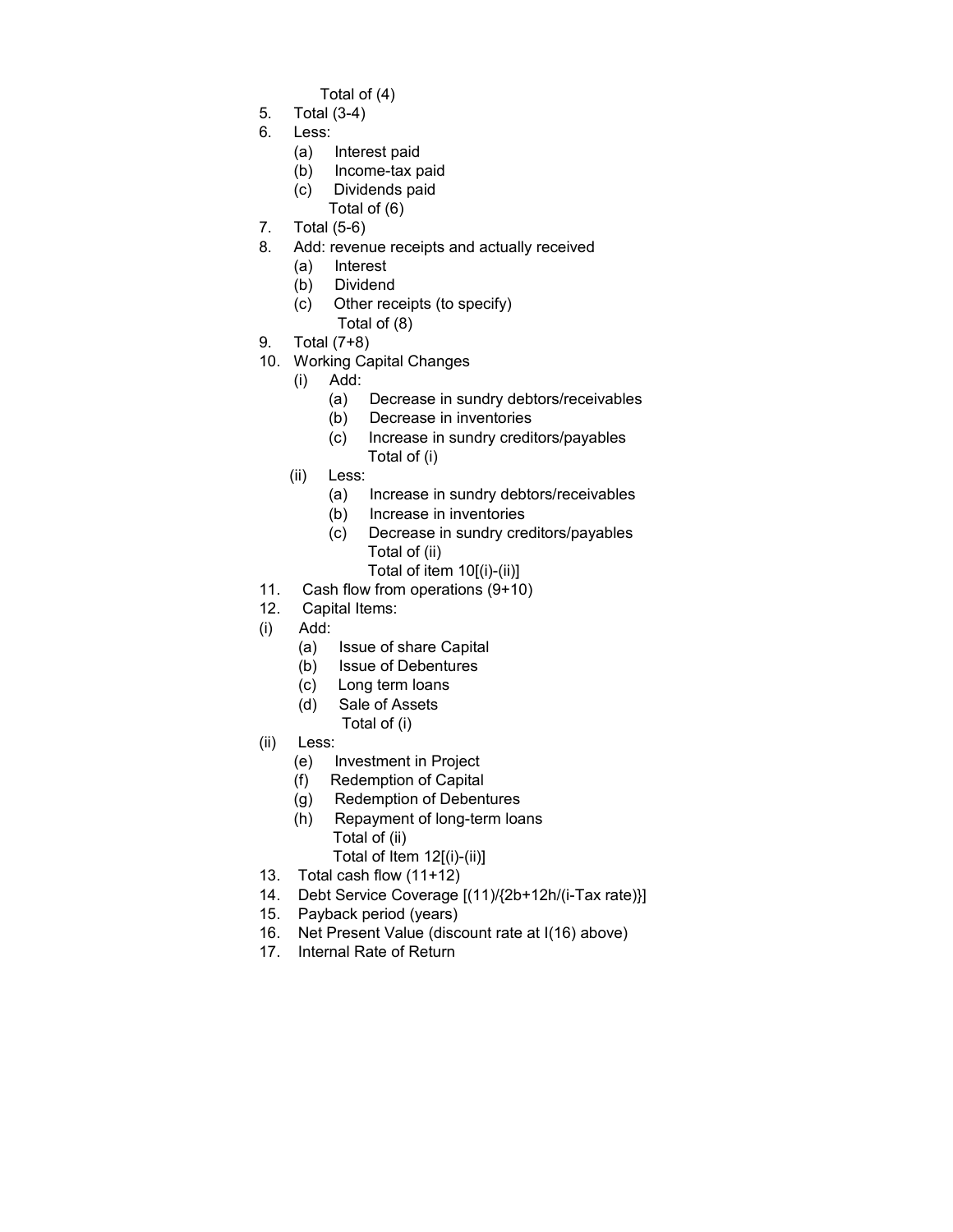- Total of (4)
- 5. Total (3-4)
- 6. Less:
	- (a) Interest paid
	- (b) Income-tax paid
	- (c) Dividends paid
		- Total of (6)
- 7. Total (5-6)
- 8. Add: revenue receipts and actually received
	- (a) Interest
	- (b) Dividend
	- (c) Other receipts (to specify)
	- Total of (8)
- 9. Total (7+8)
- 10. Working Capital Changes
	- (i) Add:
		- (a) Decrease in sundry debtors/receivables
		- (b) Decrease in inventories
		- (c) Increase in sundry creditors/payables Total of (i)
	- (ii) Less:
		- (a) Increase in sundry debtors/receivables
		- (b) Increase in inventories
		- (c) Decrease in sundry creditors/payables Total of (ii)
			- Total of item 10[(i)-(ii)]
- 11. Cash flow from operations (9+10)
- 12. Capital Items:
- (i) Add:
	- (a) Issue of share Capital
	- (b) Issue of Debentures
	- (c) Long term loans
	- (d) Sale of Assets
		- Total of (i)
- (ii) Less:
	- (e) Investment in Project
	- (f) Redemption of Capital
	- (g) Redemption of Debentures
	- (h) Repayment of long-term loans Total of (ii) Total of Item 12[(i)-(ii)]
- 13. Total cash flow (11+12)
- 14. Debt Service Coverage [(11)/{2b+12h/(i-Tax rate)}]
- 15. Payback period (years)
- 16. Net Present Value (discount rate at I(16) above)
- 17. Internal Rate of Return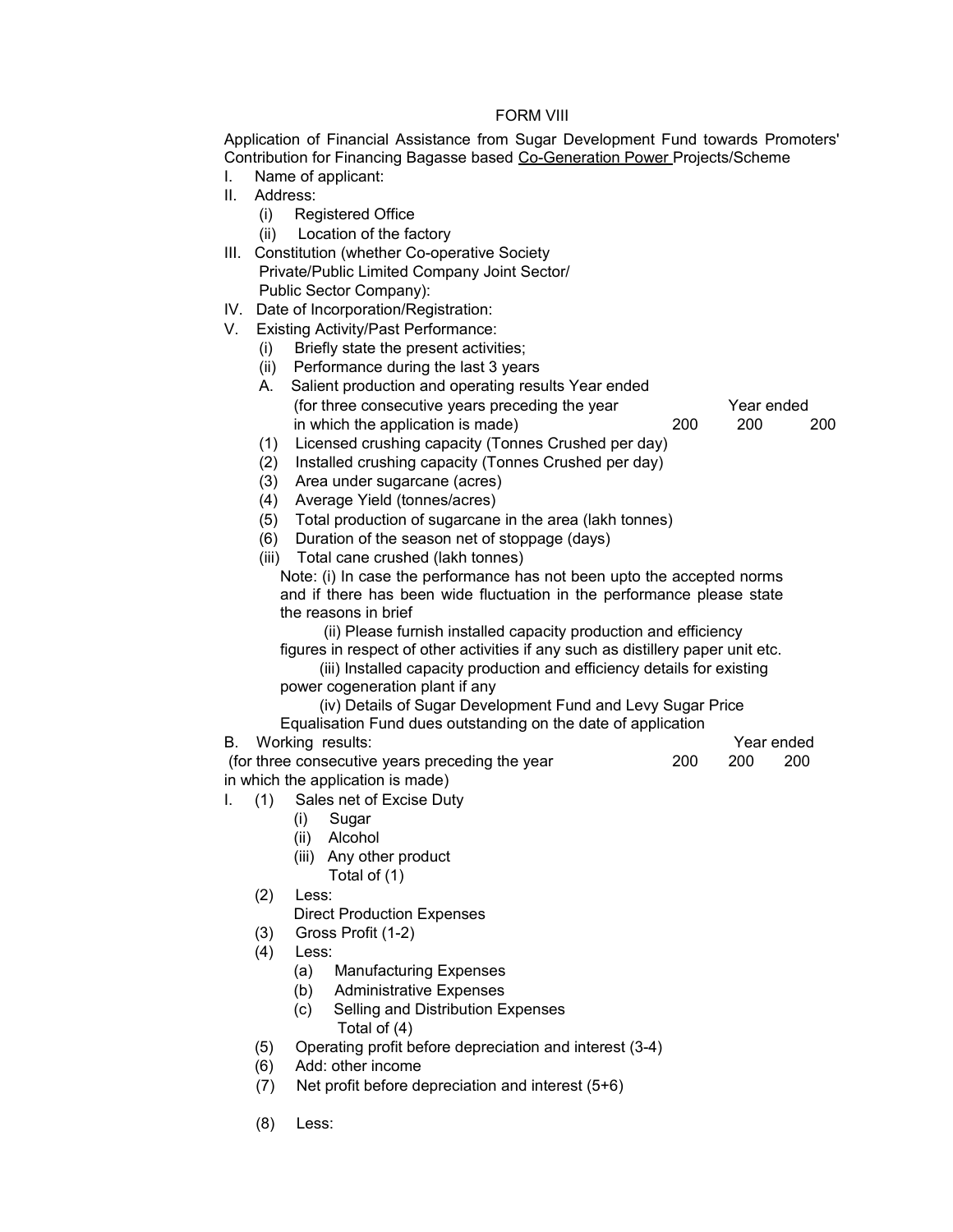## FORM VIII

Application of Financial Assistance from Sugar Development Fund towards Promoters' Contribution for Financing Bagasse based Co-Generation Power Projects/Scheme

- I. Name of applicant:
- II. Address:
	- (i) Registered Office
	- (ii) Location of the factory
- III. Constitution (whether Co-operative Society Private/Public Limited Company Joint Sector/ Public Sector Company):
- IV. Date of Incorporation/Registration:
- V. Existing Activity/Past Performance:
	- (i) Briefly state the present activities;
	- (ii) Performance during the last 3 years
	- A. Salient production and operating results Year ended (for three consecutive years preceding the year Year ended in which the application is made) 200 200 200
	- (1) Licensed crushing capacity (Tonnes Crushed per day)
	- (2) Installed crushing capacity (Tonnes Crushed per day)
	- (3) Area under sugarcane (acres)
	- (4) Average Yield (tonnes/acres)
	- (5) Total production of sugarcane in the area (lakh tonnes)
	- (6) Duration of the season net of stoppage (days)
	- (iii) Total cane crushed (lakh tonnes)

Note: (i) In case the performance has not been upto the accepted norms and if there has been wide fluctuation in the performance please state the reasons in brief

(ii) Please furnish installed capacity production and efficiency

figures in respect of other activities if any such as distillery paper unit etc.

 (iii) Installed capacity production and efficiency details for existing power cogeneration plant if any

(iv) Details of Sugar Development Fund and Levy Sugar Price

Equalisation Fund dues outstanding on the date of application

B. Working results:  $\blacksquare$ (for three consecutive years preceding the year 200 200 200 in which the application is made)

- I. (1) Sales net of Excise Duty
	- (i) Sugar
	- (ii) Alcohol
	- (iii) Any other product
		- Total of (1)
	- (2) Less:

Direct Production Expenses

- (3) Gross Profit (1-2)
- (4) Less:
	- (a) Manufacturing Expenses
	- (b) Administrative Expenses
	- (c) Selling and Distribution Expenses
		- Total of (4)
- (5) Operating profit before depreciation and interest (3-4)
- (6) Add: other income
- (7) Net profit before depreciation and interest (5+6)
- (8) Less: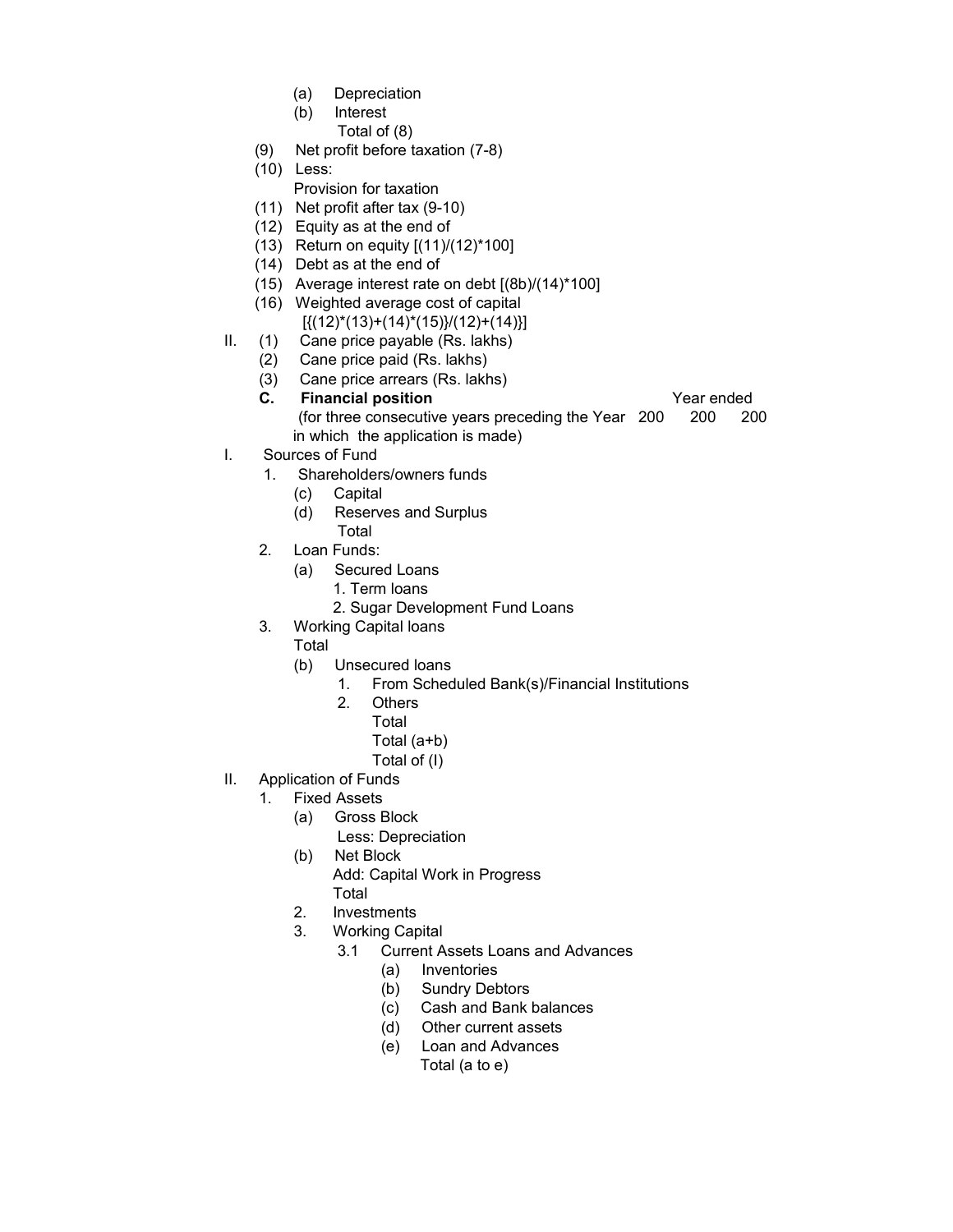- (a) Depreciation
- (b) Interest Total of (8)
- (9) Net profit before taxation (7-8)
- (10) Less:
	- Provision for taxation
- (11) Net profit after tax (9-10)
- (12) Equity as at the end of
- (13) Return on equity [(11)/(12)\*100]
- (14) Debt as at the end of
- (15) Average interest rate on debt [(8b)/(14)\*100]
- (16) Weighted average cost of capital
- $[{(12)^*(13)+(14)^*(15)}/(12)+(14)]$
- II. (1) Cane price payable (Rs. lakhs)
	- (2) Cane price paid (Rs. lakhs)
	- (3) Cane price arrears (Rs. lakhs)
	- **C.** Financial position **C.** Year ended

- (for three consecutive years preceding the Year 200 200 200 in which the application is made)
- I. Sources of Fund
	- 1. Shareholders/owners funds
		- (c) Capital
		- (d) Reserves and Surplus
		- Total
	- 2. Loan Funds:
		- (a) Secured Loans
			- 1. Term loans
			- 2. Sugar Development Fund Loans
	- 3. Working Capital loans
		- Total
		- (b) Unsecured loans
			- 1. From Scheduled Bank(s)/Financial Institutions
			- 2. Others
				- Total
				- Total (a+b)
				- Total of (I)
- II. Application of Funds
	- 1. Fixed Assets
		- (a) Gross Block
			- Less: Depreciation
		- (b) Net Block
			- Add: Capital Work in Progress Total
		- 2. Investments
		- 3. Working Capital
			- 3.1 Current Assets Loans and Advances
				- (a) Inventories
				- (b) Sundry Debtors
				- (c) Cash and Bank balances
				- (d) Other current assets
				- (e) Loan and Advances
					- Total (a to e)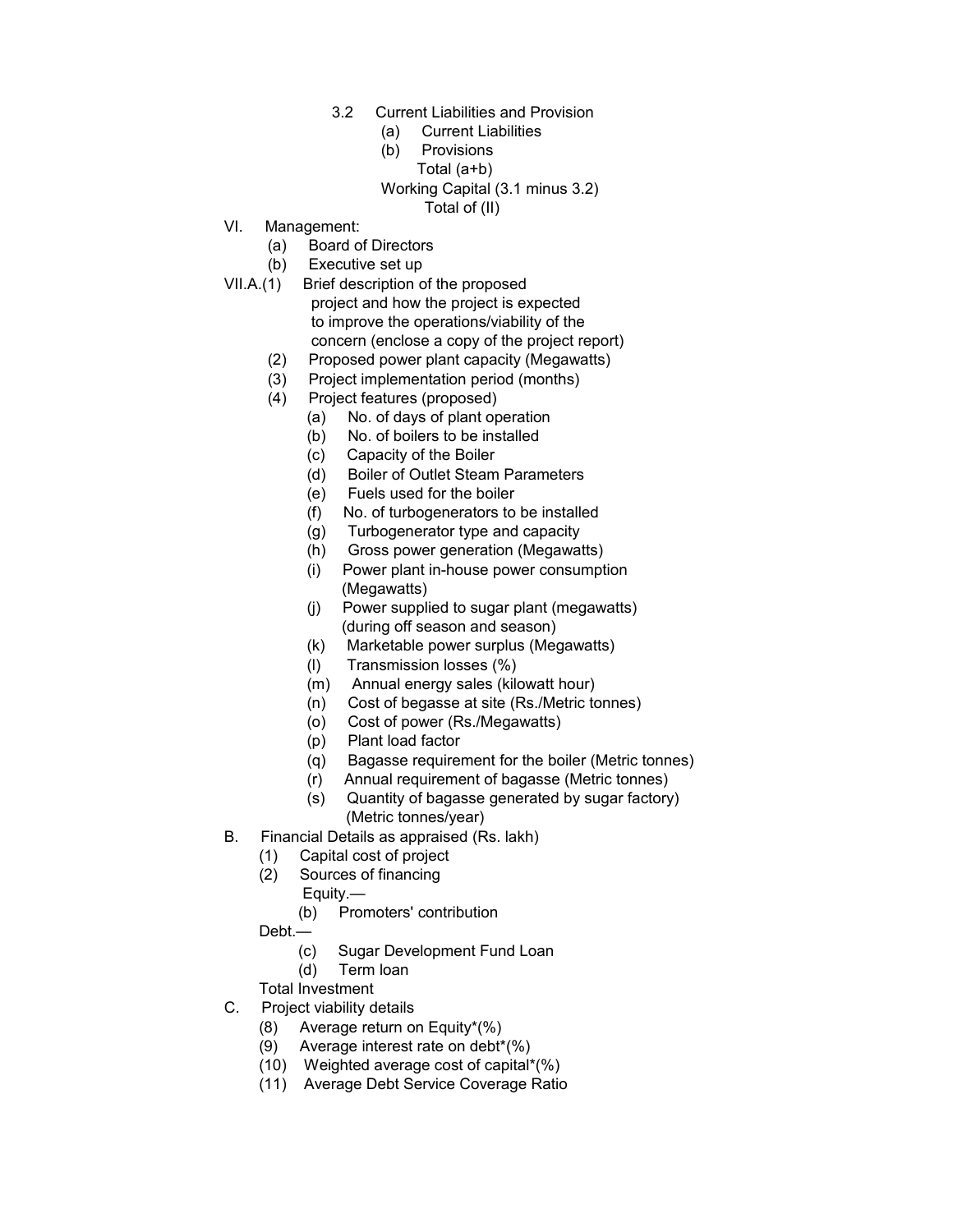- 3.2 Current Liabilities and Provision
	- (a) Current Liabilities
	- (b) Provisions Total (a+b) Working Capital (3.1 minus 3.2) Total of (II)
- VI. Management:
	- (a) Board of Directors
	- (b) Executive set up
- VII.A.(1) Brief description of the proposed project and how the project is expected to improve the operations/viability of the concern (enclose a copy of the project report)
	- (2) Proposed power plant capacity (Megawatts)
	- (3) Project implementation period (months)
	- (4) Project features (proposed)
		- (a) No. of days of plant operation
		- (b) No. of boilers to be installed
		- (c) Capacity of the Boiler
		- (d) Boiler of Outlet Steam Parameters
		- (e) Fuels used for the boiler
		- (f) No. of turbogenerators to be installed
		- (g) Turbogenerator type and capacity
		- (h) Gross power generation (Megawatts)
		- (i) Power plant in-house power consumption (Megawatts)
		- (j) Power supplied to sugar plant (megawatts) (during off season and season)
		- (k) Marketable power surplus (Megawatts)
		- (l) Transmission losses (%)
		- (m) Annual energy sales (kilowatt hour)
		- (n) Cost of begasse at site (Rs./Metric tonnes)
		- (o) Cost of power (Rs./Megawatts)
		- (p) Plant load factor
		- (q) Bagasse requirement for the boiler (Metric tonnes)
		- (r) Annual requirement of bagasse (Metric tonnes)
		- (s) Quantity of bagasse generated by sugar factory) (Metric tonnes/year)
- B. Financial Details as appraised (Rs. lakh)
	- (1) Capital cost of project
	- (2) Sources of financing
		- Equity.—
		- (b) Promoters' contribution
	- Debt.—
		- (c) Sugar Development Fund Loan
		- (d) Term loan

Total Investment

- C. Project viability details
	- (8) Average return on Equity\*(%)
	- (9) Average interest rate on debt\*(%)
	- (10) Weighted average cost of capital\*(%)
	- (11) Average Debt Service Coverage Ratio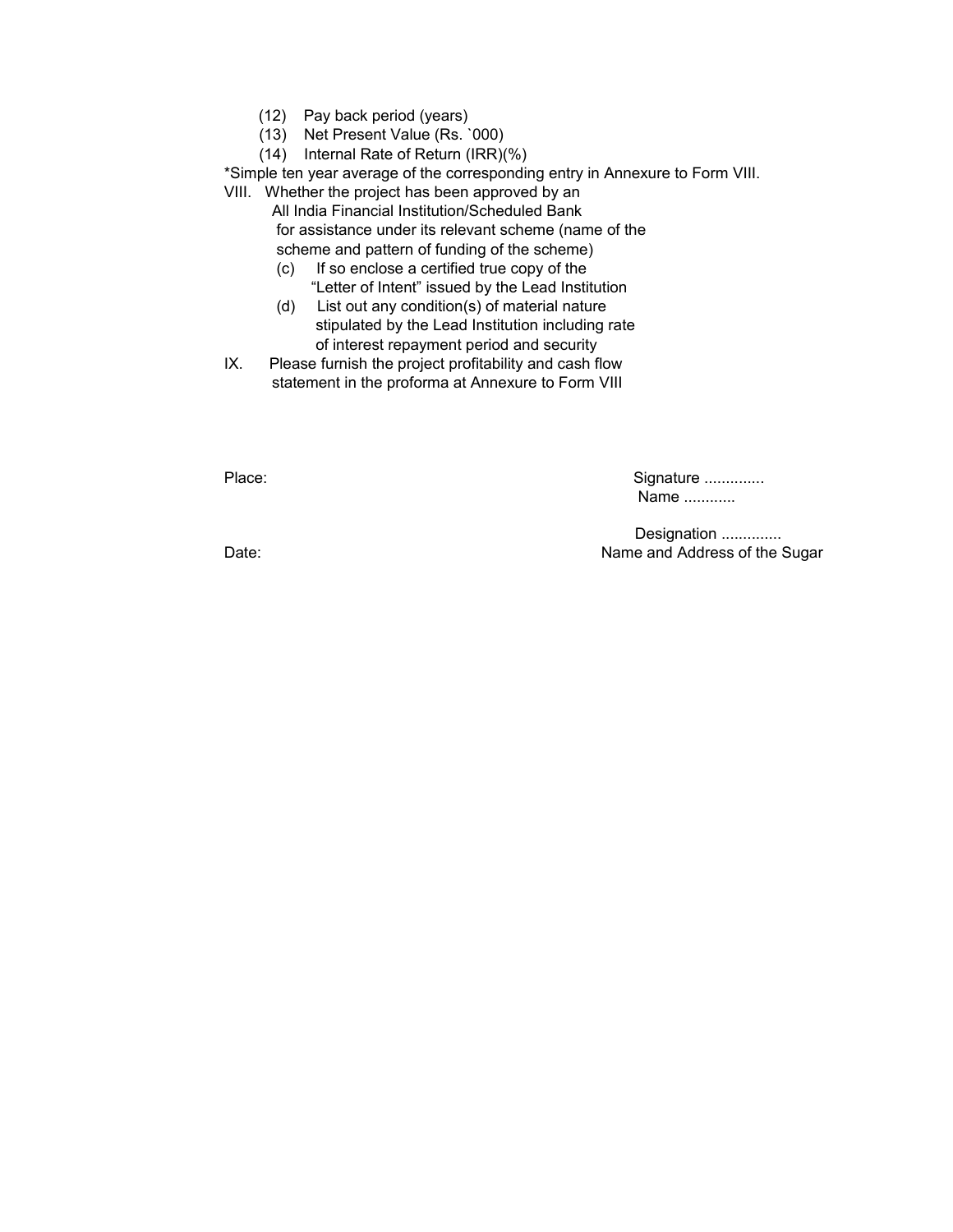- (12) Pay back period (years)
- (13) Net Present Value (Rs. `000)
- (14) Internal Rate of Return (IRR)(%)

\*Simple ten year average of the corresponding entry in Annexure to Form VIII.

VIII. Whether the project has been approved by an

 All India Financial Institution/Scheduled Bank for assistance under its relevant scheme (name of the scheme and pattern of funding of the scheme)

- (c) If so enclose a certified true copy of the "Letter of Intent" issued by the Lead Institution
- (d) List out any condition(s) of material nature stipulated by the Lead Institution including rate of interest repayment period and security
- IX. Please furnish the project profitability and cash flow statement in the proforma at Annexure to Form VIII

Place: Signature .............. Name ............

Designation .............. Date: **Name and Address of the Sugar Date:** Name and Address of the Sugar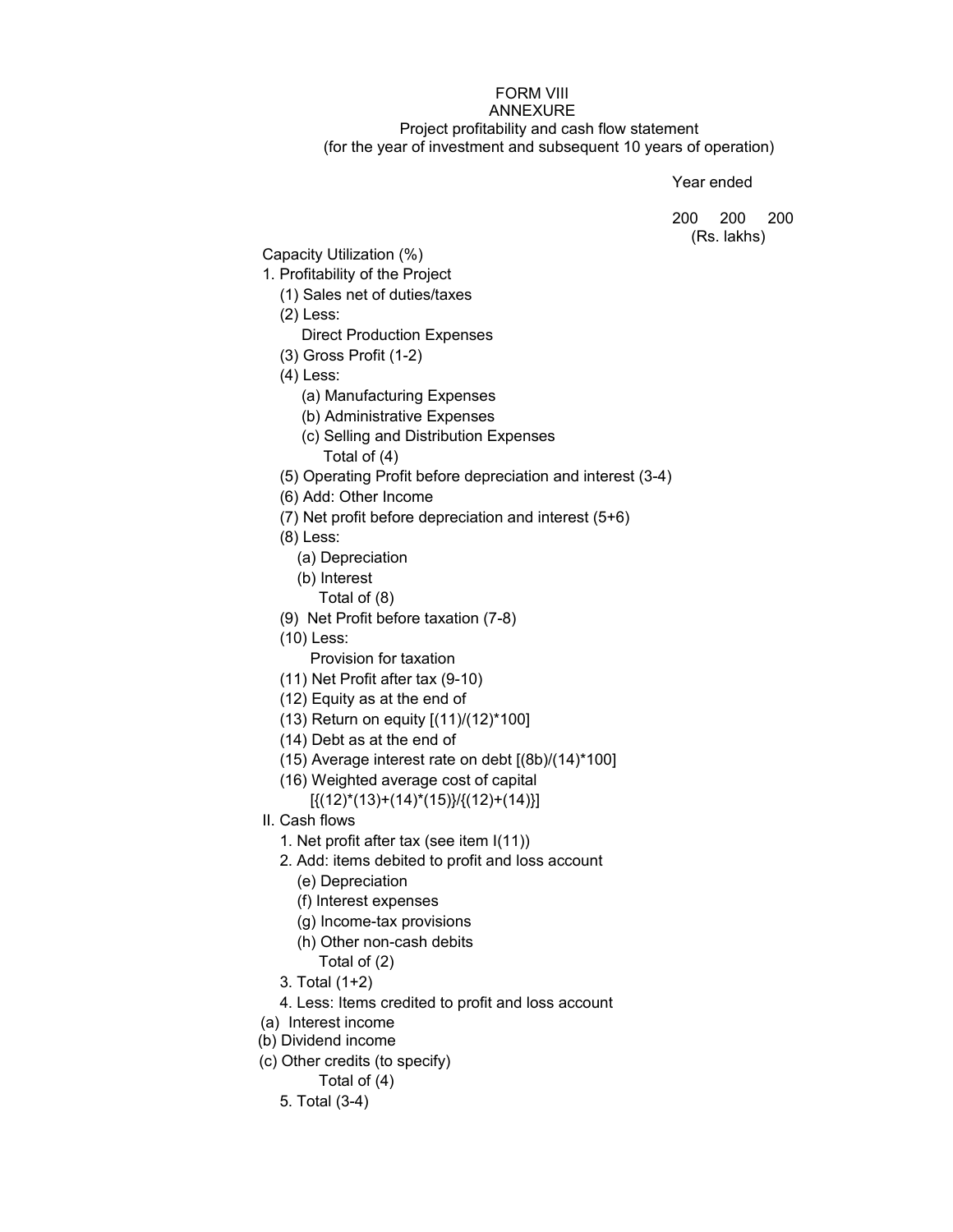## FORM VIII ANNEXURE Project profitability and cash flow statement (for the year of investment and subsequent 10 years of operation)

Year ended

200 200 200 (Rs. lakhs)

Capacity Utilization (%)

- 1. Profitability of the Project
	- (1) Sales net of duties/taxes
	- (2) Less:
		- Direct Production Expenses
	- (3) Gross Profit (1-2)
	- (4) Less:
		- (a) Manufacturing Expenses
		- (b) Administrative Expenses
		- (c) Selling and Distribution Expenses
			- Total of (4)
	- (5) Operating Profit before depreciation and interest (3-4)
	- (6) Add: Other Income
	- (7) Net profit before depreciation and interest (5+6)
	- (8) Less:
		- (a) Depreciation
		- (b) Interest
			- Total of (8)
	- (9) Net Profit before taxation (7-8)
	- (10) Less:
		- Provision for taxation
	- (11) Net Profit after tax (9-10)
	- (12) Equity as at the end of
	- (13) Return on equity [(11)/(12)\*100]
	- (14) Debt as at the end of
	- (15) Average interest rate on debt [(8b)/(14)\*100]
	- (16) Weighted average cost of capital

 $[{(12)}*(13)+(14)*(15)]/[{(12)}+(14)]$ 

- II. Cash flows
	- 1. Net profit after tax (see item I(11))
	- 2. Add: items debited to profit and loss account
		- (e) Depreciation
		- (f) Interest expenses
		- (g) Income-tax provisions
		- (h) Other non-cash debits
			- Total of (2)
	- 3. Total (1+2)
	- 4. Less: Items credited to profit and loss account
- (a) Interest income
- (b) Dividend income
- (c) Other credits (to specify)

Total of (4)

5. Total (3-4)